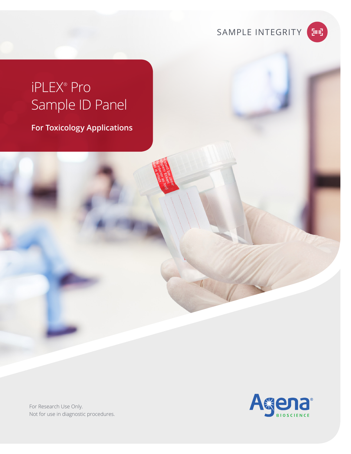SAMPLE INTEGRITY

## [imi]

# iPLEX® Pro Sample ID Panel

**For Toxicology Applications**

Agena

For Research Use Only. Not for use in diagnostic procedures.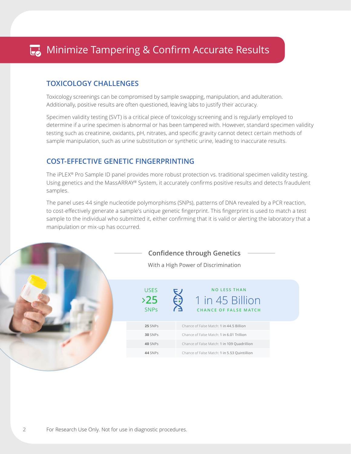#### **TOXICOLOGY CHALLENGES**

Toxicology screenings can be compromised by sample swapping, manipulation, and adulteration. Additionally, positive results are often questioned, leaving labs to justify their accuracy.

Specimen validity testing (SVT) is a critical piece of toxicology screening and is regularly employed to determine if a urine specimen is abnormal or has been tampered with. However, standard specimen validity testing such as creatinine, oxidants, pH, nitrates, and specific gravity cannot detect certain methods of sample manipulation, such as urine substitution or synthetic urine, leading to inaccurate results.

### **COST-EFFECTIVE GENETIC FINGERPRINTING**

The iPLEX® Pro Sample ID panel provides more robust protection vs. traditional specimen validity testing. Using genetics and the MassARRAY® System, it accurately confirms positive results and detects fraudulent samples.

The panel uses 44 single nucleotide polymorphisms (SNPs), patterns of DNA revealed by a PCR reaction, to cost-effectively generate a sample's unique genetic fingerprint. This fingerprint is used to match a test sample to the individual who submitted it, either confirming that it is valid or alerting the laboratory that a manipulation or mix-up has occurred.



2

**Confidence through Genetics** 

With a High Power of Discrimination

| USES              | <b>NO LESS THAN</b>                             |  |  |
|-------------------|-------------------------------------------------|--|--|
| 25<br><b>SNPs</b> | 1 in 45 Billion<br><b>CHANCE OF FALSE MATCH</b> |  |  |
| 25 SNPs           | Chance of False Match: 1 in 44.5 Billion        |  |  |
| 30 SNPs           | Chance of False Match: 1 in 6.01 Trillion       |  |  |

**40** SNPs Chance of False Match: 1 in 109 Quadrillion **44** SNPs Chance of False Match: 1 in 5.53 Quintillion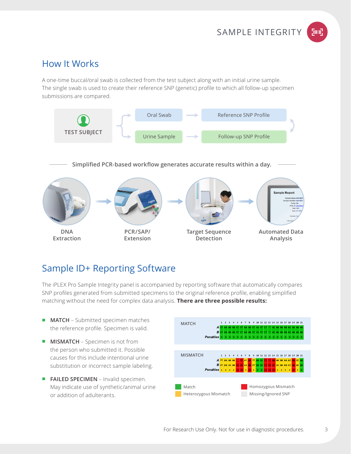

### **How It Works**

A one-time buccal/oral swab is collected from the test subject along with an initial urine sample. The single swab is used to create their reference SNP (genetic) profile to which all follow-up specimen submissions are compared.



### Sample ID+ Reporting Software

The iPLEX Pro Sample Integrity panel is accompanied by reporting software that automatically compares SNP profiles generated from submitted specimens to the original reference profile, enabling simplified matching without the need for complex data analysis. There are three possible results:

- **MATCH** Submitted specimen matches the reference profile. Specimen is valid.
- **MISMATCH** Specimen is not from the person who submitted it. Possible causes for this include intentional urine substitution or incorrect sample labeling.
- FAILED SPECIMEN Invalid specimen. May indicate use of synthetic/animal urine or addition of adulterants.